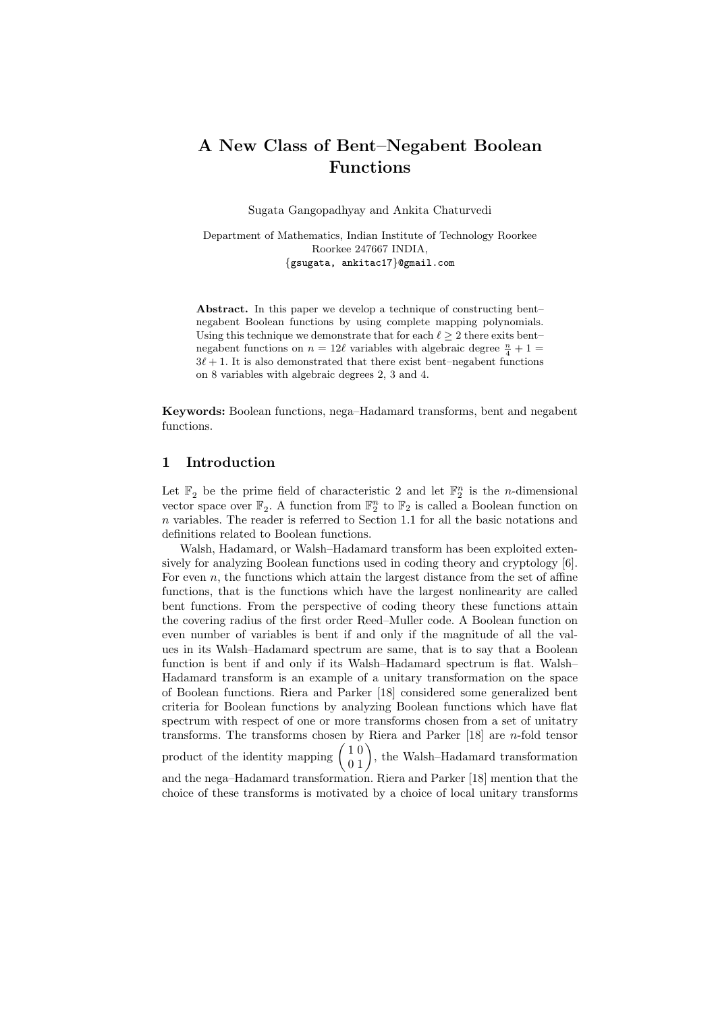# A New Class of Bent–Negabent Boolean Functions

Sugata Gangopadhyay and Ankita Chaturvedi

Department of Mathematics, Indian Institute of Technology Roorkee Roorkee 247667 INDIA, {gsugata, ankitac17}@gmail.com

Abstract. In this paper we develop a technique of constructing bent– negabent Boolean functions by using complete mapping polynomials. Using this technique we demonstrate that for each  $\ell \geq 2$  there exits bent– negabent functions on  $n = 12\ell$  variables with algebraic degree  $\frac{n}{4} + 1 =$  $3\ell + 1$ . It is also demonstrated that there exist bent–negabent functions on 8 variables with algebraic degrees 2, 3 and 4.

Keywords: Boolean functions, nega–Hadamard transforms, bent and negabent functions.

### 1 Introduction

Let  $\mathbb{F}_2$  be the prime field of characteristic 2 and let  $\mathbb{F}_2^n$  is the *n*-dimensional vector space over  $\mathbb{F}_2$ . A function from  $\mathbb{F}_2^n$  to  $\mathbb{F}_2$  is called a Boolean function on  $n$  variables. The reader is referred to Section 1.1 for all the basic notations and definitions related to Boolean functions.

Walsh, Hadamard, or Walsh–Hadamard transform has been exploited extensively for analyzing Boolean functions used in coding theory and cryptology [6]. For even  $n$ , the functions which attain the largest distance from the set of affine functions, that is the functions which have the largest nonlinearity are called bent functions. From the perspective of coding theory these functions attain the covering radius of the first order Reed–Muller code. A Boolean function on even number of variables is bent if and only if the magnitude of all the values in its Walsh–Hadamard spectrum are same, that is to say that a Boolean function is bent if and only if its Walsh–Hadamard spectrum is flat. Walsh– Hadamard transform is an example of a unitary transformation on the space of Boolean functions. Riera and Parker [18] considered some generalized bent criteria for Boolean functions by analyzing Boolean functions which have flat spectrum with respect of one or more transforms chosen from a set of unitatry transforms. The transforms chosen by Riera and Parker [18] are n-fold tensor product of the identity mapping  $\begin{pmatrix} 1 & 0 \\ 0 & 1 \end{pmatrix}$ , the Walsh-Hadamard transformation and the nega–Hadamard transformation. Riera and Parker [18] mention that the choice of these transforms is motivated by a choice of local unitary transforms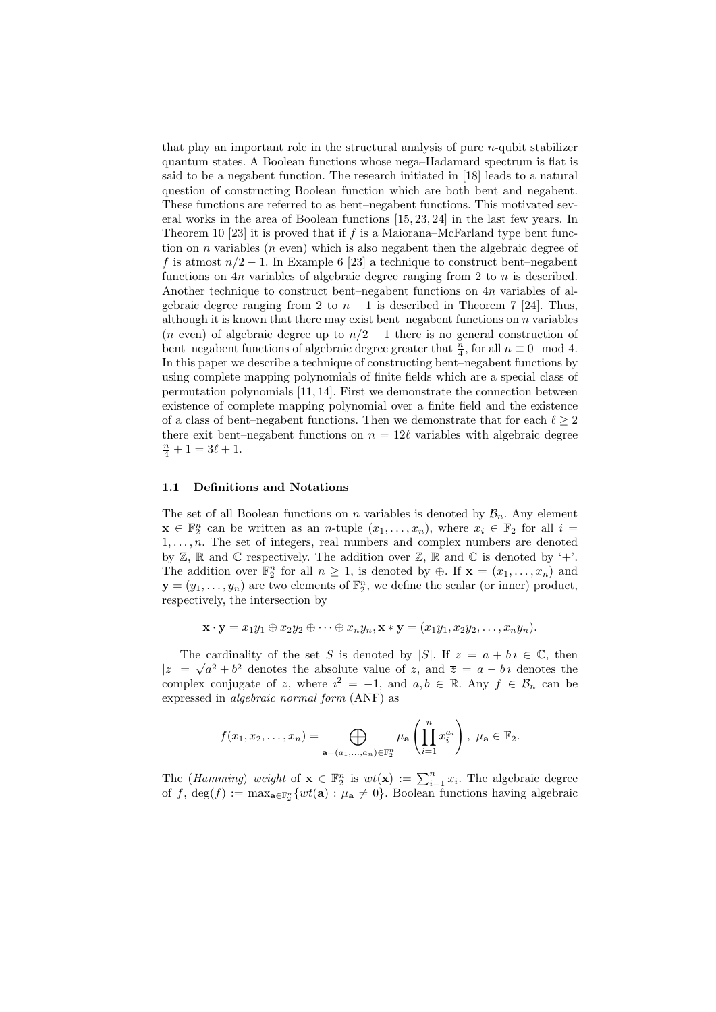that play an important role in the structural analysis of pure  $n$ -qubit stabilizer quantum states. A Boolean functions whose nega–Hadamard spectrum is flat is said to be a negabent function. The research initiated in [18] leads to a natural question of constructing Boolean function which are both bent and negabent. These functions are referred to as bent–negabent functions. This motivated several works in the area of Boolean functions [15, 23, 24] in the last few years. In Theorem 10 [23] it is proved that if  $f$  is a Maiorana–McFarland type bent function on n variables (n even) which is also negabent then the algebraic degree of f is atmost  $n/2 - 1$ . In Example 6 [23] a technique to construct bent–negabent functions on 4n variables of algebraic degree ranging from 2 to  $n$  is described. Another technique to construct bent–negabent functions on 4n variables of algebraic degree ranging from 2 to  $n-1$  is described in Theorem 7 [24]. Thus, although it is known that there may exist bent–negabent functions on  $n$  variables (*n* even) of algebraic degree up to  $n/2 - 1$  there is no general construction of bent–negabent functions of algebraic degree greater that  $\frac{n}{4}$ , for all  $n \equiv 0 \mod 4$ . In this paper we describe a technique of constructing bent–negabent functions by using complete mapping polynomials of finite fields which are a special class of permutation polynomials [11, 14]. First we demonstrate the connection between existence of complete mapping polynomial over a finite field and the existence of a class of bent–negabent functions. Then we demonstrate that for each  $\ell \geq 2$ there exit bent–negabent functions on  $n = 12\ell$  variables with algebraic degree  $\frac{n}{4} + 1 = 3\ell + 1.$ 

#### 1.1 Definitions and Notations

The set of all Boolean functions on n variables is denoted by  $\mathcal{B}_n$ . Any element  $\mathbf{x} \in \mathbb{F}_2^n$  can be written as an *n*-tuple  $(x_1, \ldots, x_n)$ , where  $x_i \in \mathbb{F}_2$  for all  $i =$  $1, \ldots, n$ . The set of integers, real numbers and complex numbers are denoted by  $\mathbb{Z}, \mathbb{R}$  and  $\mathbb{C}$  respectively. The addition over  $\mathbb{Z}, \mathbb{R}$  and  $\mathbb{C}$  is denoted by '+'. The addition over  $\mathbb{F}_2^n$  for all  $n \geq 1$ , is denoted by  $\oplus$ . If  $\mathbf{x} = (x_1, \ldots, x_n)$  and  $\mathbf{y} = (y_1, \ldots, y_n)$  are two elements of  $\mathbb{F}_2^n$ , we define the scalar (or inner) product, respectively, the intersection by

$$
\mathbf{x}\cdot\mathbf{y}=x_1y_1\oplus x_2y_2\oplus\cdots\oplus x_ny_n, \mathbf{x}*\mathbf{y}=(x_1y_1,x_2y_2,\ldots,x_ny_n).
$$

The cardinality of the set S is denoted by |S|. If  $z = a + bi \in \mathbb{C}$ , then  $|z| = \sqrt{a^2 + b^2}$  denotes the absolute value of z, and  $\overline{z} = a - bi$  denotes the complex conjugate of z, where  $i^2 = -1$ , and  $a, b \in \mathbb{R}$ . Any  $f \in \mathcal{B}_n$  can be expressed in algebraic normal form (ANF) as

$$
f(x_1,x_2,\ldots,x_n)=\bigoplus_{\mathbf{a}=(a_1,\ldots,a_n)\in\mathbb{F}_2^n}\mu_{\mathbf{a}}\left(\prod_{i=1}^nx_i^{a_i}\right), \ \mu_{\mathbf{a}}\in\mathbb{F}_2.
$$

The (*Hamming*) weight of  $\mathbf{x} \in \mathbb{F}_2^n$  is  $wt(\mathbf{x}) := \sum_{i=1}^n x_i$ . The algebraic degree of f, deg(f) :=  $\max_{\mathbf{a} \in \mathbb{F}_2^n} \{wt(\mathbf{a}) : \mu_{\mathbf{a}} \neq 0\}$ . Boolean functions having algebraic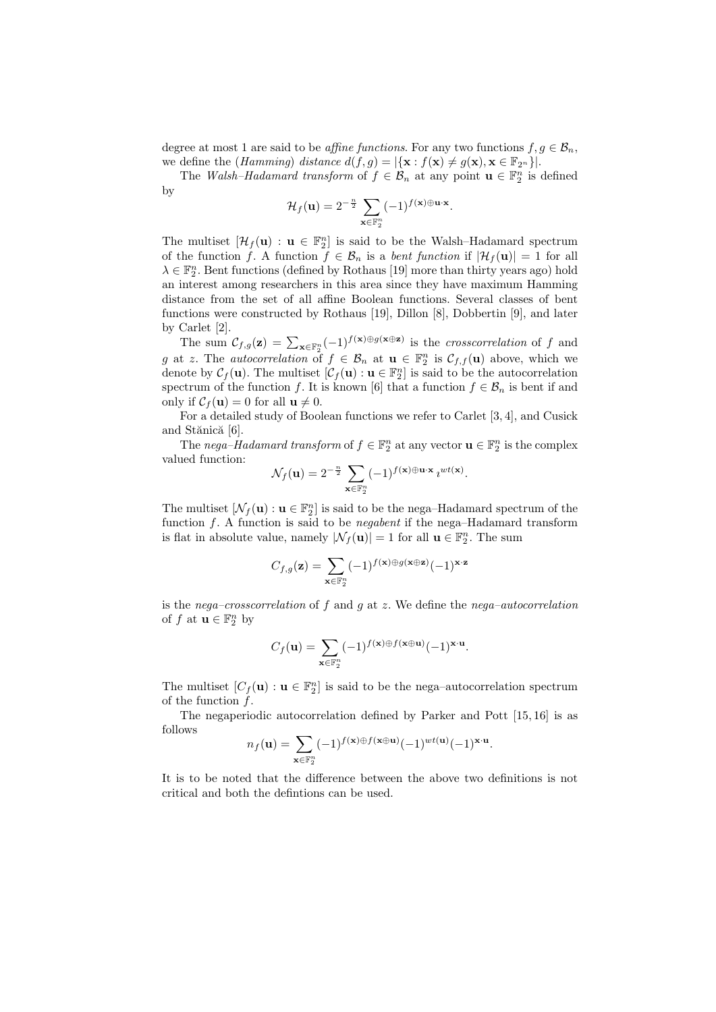degree at most 1 are said to be *affine functions*. For any two functions  $f, g \in \mathcal{B}_n$ , we define the (*Hamming*) distance  $d(f, g) = |\{\mathbf{x} : f(\mathbf{x}) \neq g(\mathbf{x}), \mathbf{x} \in \mathbb{F}_{2^n}\}|.$ 

The Walsh-Hadamard transform of  $f \in \mathcal{B}_n$  at any point  $\mathbf{u} \in \mathbb{F}_2^n$  is defined by

$$
\mathcal{H}_f(\mathbf{u}) = 2^{-\frac{n}{2}} \sum_{\mathbf{x} \in \mathbb{F}_2^n} (-1)^{f(\mathbf{x}) \oplus \mathbf{u} \cdot \mathbf{x}}
$$

.

The multiset  $[\mathcal{H}_f(\mathbf{u}) : \mathbf{u} \in \mathbb{F}_2^n]$  is said to be the Walsh-Hadamard spectrum of the function f. A function  $f \in \mathcal{B}_n$  is a *bent function* if  $|\mathcal{H}_f(\mathbf{u})| = 1$  for all  $\lambda \in \mathbb{F}_2^n$ . Bent functions (defined by Rothaus [19] more than thirty years ago) hold an interest among researchers in this area since they have maximum Hamming distance from the set of all affine Boolean functions. Several classes of bent functions were constructed by Rothaus [19], Dillon [8], Dobbertin [9], and later by Carlet [2].

The sum  $\mathcal{C}_{f,g}(\mathbf{z}) = \sum_{\mathbf{x} \in \mathbb{F}_2^n} (-1)^{f(\mathbf{x}) \oplus g(\mathbf{x} \oplus \mathbf{z})}$  is the crosscorrelation of f and g at z. The *autocorrelation* of  $f \in \mathcal{B}_n$  at  $\mathbf{u} \in \mathbb{F}_2^n$  is  $\mathcal{C}_{f,f}(\mathbf{u})$  above, which we denote by  $\mathcal{C}_f(\mathbf{u})$ . The multiset  $[\mathcal{C}_f(\mathbf{u}) : \mathbf{u} \in \mathbb{F}_2^n]$  is said to be the autocorrelation spectrum of the function f. It is known [6] that a function  $f \in \mathcal{B}_n$  is bent if and only if  $C_f(\mathbf{u}) = 0$  for all  $\mathbf{u} \neq 0$ .

For a detailed study of Boolean functions we refer to Carlet [3, 4], and Cusick and Stănică [6].

The nega-Hadamard transform of  $f \in \mathbb{F}_2^n$  at any vector  $\mathbf{u} \in \mathbb{F}_2^n$  is the complex valued function:

$$
\mathcal{N}_f(\mathbf{u}) = 2^{-\frac{n}{2}} \sum_{\mathbf{x} \in \mathbb{F}_2^n} (-1)^{f(\mathbf{x}) \oplus \mathbf{u} \cdot \mathbf{x}} i^{wt(\mathbf{x})}.
$$

The multiset  $[\mathcal{N}_f(\mathbf{u}) : \mathbf{u} \in \mathbb{F}_2^n]$  is said to be the nega-Hadamard spectrum of the function  $f$ . A function is said to be *negabent* if the nega-Hadamard transform is flat in absolute value, namely  $|\mathcal{N}_f(\mathbf{u})| = 1$  for all  $\mathbf{u} \in \mathbb{F}_2^n$ . The sum

$$
C_{f,g}(\mathbf{z}) = \sum_{\mathbf{x} \in \mathbb{F}_2^n} (-1)^{f(\mathbf{x}) \oplus g(\mathbf{x} \oplus \mathbf{z})} (-1)^{\mathbf{x} \cdot \mathbf{z}}
$$

is the nega–crosscorrelation of f and q at z. We define the nega–autocorrelation of  $f$  at  $\mathbf{u} \in \mathbb{F}_2^n$  by

$$
C_f(\mathbf{u}) = \sum_{\mathbf{x} \in \mathbb{F}_2^n} (-1)^{f(\mathbf{x}) \oplus f(\mathbf{x} \oplus \mathbf{u})} (-1)^{\mathbf{x} \cdot \mathbf{u}}.
$$

The multiset  $[C_f(\mathbf{u}) : \mathbf{u} \in \mathbb{F}_2^n]$  is said to be the nega-autocorrelation spectrum of the function  $f$ .

The negaperiodic autocorrelation defined by Parker and Pott [15, 16] is as follows

$$
n_f(\mathbf{u}) = \sum_{\mathbf{x} \in \mathbb{F}_2^n} (-1)^{f(\mathbf{x}) \oplus f(\mathbf{x} \oplus \mathbf{u})} (-1)^{wt(\mathbf{u})} (-1)^{\mathbf{x} \cdot \mathbf{u}}.
$$

It is to be noted that the difference between the above two definitions is not critical and both the defintions can be used.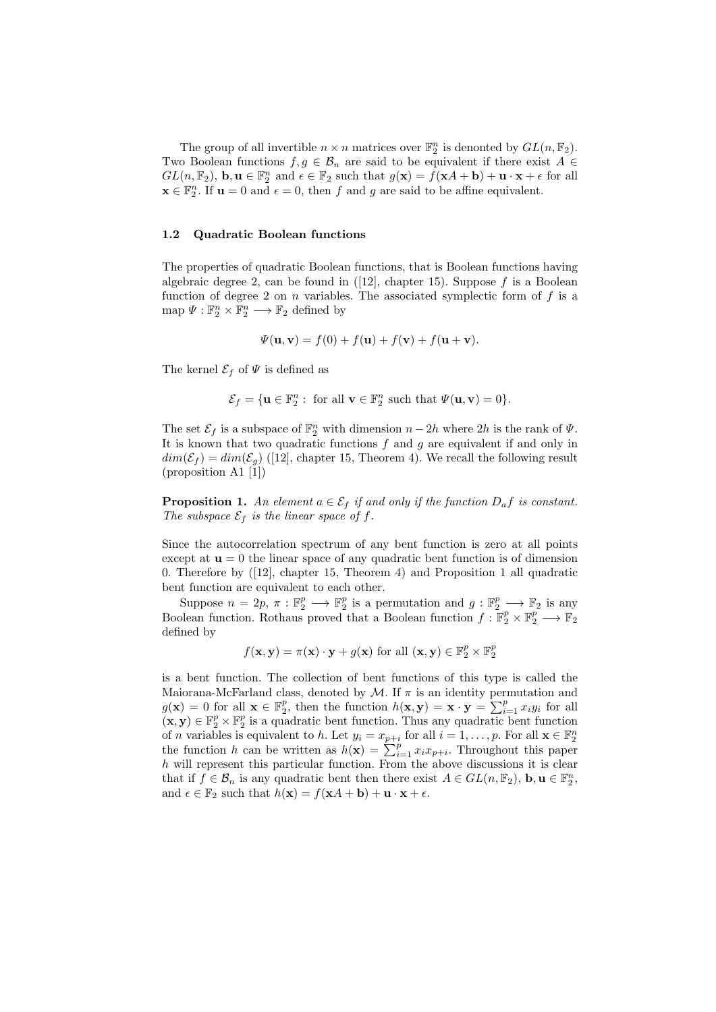The group of all invertible  $n \times n$  matrices over  $\mathbb{F}_2^n$  is denonted by  $GL(n, \mathbb{F}_2)$ . Two Boolean functions  $f, g \in \mathcal{B}_n$  are said to be equivalent if there exist  $A \in$  $GL(n, \mathbb{F}_2)$ ,  $\mathbf{b}, \mathbf{u} \in \mathbb{F}_2^n$  and  $\epsilon \in \mathbb{F}_2$  such that  $g(\mathbf{x}) = f(\mathbf{x}A + \mathbf{b}) + \mathbf{u} \cdot \mathbf{x} + \epsilon$  for all  $\mathbf{x} \in \mathbb{F}_2^n$ . If  $\mathbf{u} = 0$  and  $\epsilon = 0$ , then f and g are said to be affine equivalent.

#### 1.2 Quadratic Boolean functions

The properties of quadratic Boolean functions, that is Boolean functions having algebraic degree 2, can be found in  $(12)$ , chapter 15). Suppose f is a Boolean function of degree 2 on  $n$  variables. The associated symplectic form of  $f$  is a map  $\Psi : \mathbb{F}_2^n \times \mathbb{F}_2^n \longrightarrow \mathbb{F}_2$  defined by

$$
\Psi(\mathbf{u}, \mathbf{v}) = f(0) + f(\mathbf{u}) + f(\mathbf{v}) + f(\mathbf{u} + \mathbf{v}).
$$

The kernel  $\mathcal{E}_f$  of  $\Psi$  is defined as

$$
\mathcal{E}_f = \{ \mathbf{u} \in \mathbb{F}_2^n : \text{ for all } \mathbf{v} \in \mathbb{F}_2^n \text{ such that } \Psi(\mathbf{u}, \mathbf{v}) = 0 \}.
$$

The set  $\mathcal{E}_f$  is a subspace of  $\mathbb{F}_2^n$  with dimension  $n-2h$  where  $2h$  is the rank of  $\Psi$ . It is known that two quadratic functions  $f$  and  $g$  are equivalent if and only in  $dim(\mathcal{E}_f) = dim(\mathcal{E}_g)$  ([12], chapter 15, Theorem 4). We recall the following result (proposition A1 [1])

**Proposition 1.** An element  $a \in \mathcal{E}_f$  if and only if the function  $D_a f$  is constant. The subspace  $\mathcal{E}_f$  is the linear space of f.

Since the autocorrelation spectrum of any bent function is zero at all points except at  $\mathbf{u} = 0$  the linear space of any quadratic bent function is of dimension 0. Therefore by ([12], chapter 15, Theorem 4) and Proposition 1 all quadratic bent function are equivalent to each other.

Suppose  $n = 2p, \pi : \mathbb{F}_2^p \longrightarrow \mathbb{F}_2^p$  is a permutation and  $g : \mathbb{F}_2^p \longrightarrow \mathbb{F}_2$  is any Boolean function. Rothaus proved that a Boolean function  $f : \mathbb{F}_2^p \times \mathbb{F}_2^p \longrightarrow \mathbb{F}_2$ defined by

$$
f(\mathbf{x}, \mathbf{y}) = \pi(\mathbf{x}) \cdot \mathbf{y} + g(\mathbf{x})
$$
 for all  $(\mathbf{x}, \mathbf{y}) \in \mathbb{F}_2^p \times \mathbb{F}_2^p$ 

is a bent function. The collection of bent functions of this type is called the Maiorana-McFarland class, denoted by  $\mathcal M$ . If  $\pi$  is an identity permutation and  $g(\mathbf{x}) = 0$  for all  $\mathbf{x} \in \mathbb{F}_2^p$ , then the function  $h(\mathbf{x}, \mathbf{y}) = \mathbf{x} \cdot \mathbf{y} = \sum_{i=1}^p x_i y_i$  for all  $(\mathbf{x}, \mathbf{y}) \in \mathbb{F}_2^p \times \mathbb{F}_2^p$  is a quadratic bent function. Thus any quadratic bent function of *n* variables is equivalent to *h*. Let  $y_i = x_{p+i}$  for all  $i = 1, ..., p$ . For all  $\mathbf{x} \in \mathbb{F}_2^n$ <br>the function *h* can be written as  $h(\mathbf{x}) = \sum_{i=1}^p x_i x_{p+i}$ . Throughout this paper  $h$  will represent this particular function. From the above discussions it is clear that if  $f \in \mathcal{B}_n$  is any quadratic bent then there exist  $A \in GL(n, \mathbb{F}_2)$ ,  $\mathbf{b}, \mathbf{u} \in \mathbb{F}_2^n$ , and  $\epsilon \in \mathbb{F}_2$  such that  $h(\mathbf{x}) = f(\mathbf{x}A + \mathbf{b}) + \mathbf{u} \cdot \mathbf{x} + \epsilon$ .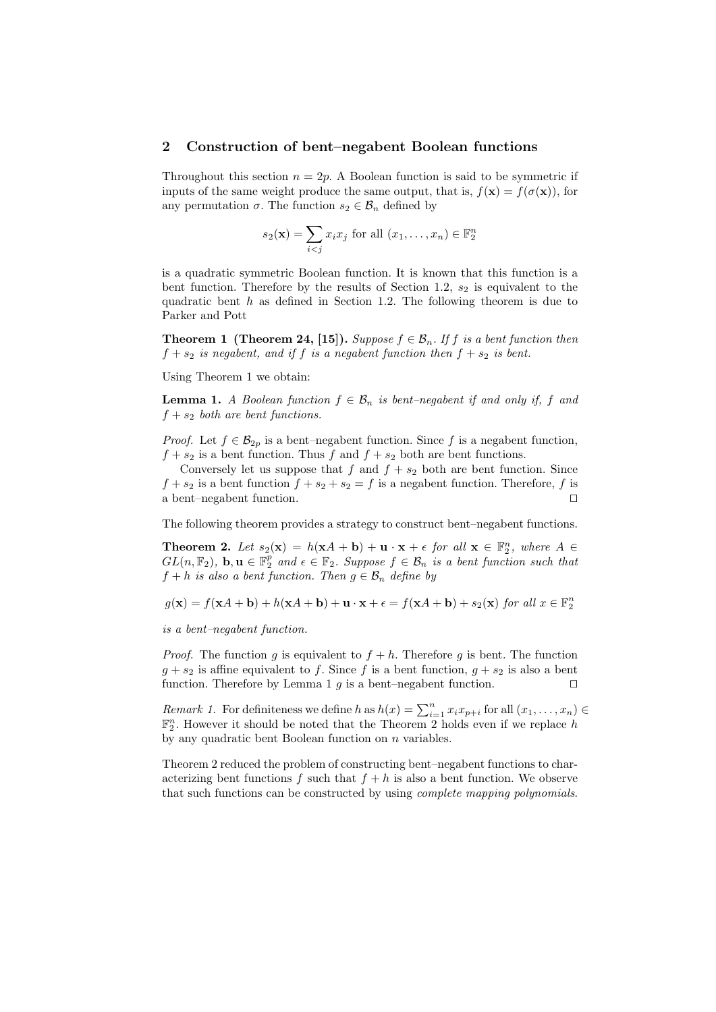#### 2 Construction of bent–negabent Boolean functions

Throughout this section  $n = 2p$ . A Boolean function is said to be symmetric if inputs of the same weight produce the same output, that is,  $f(\mathbf{x}) = f(\sigma(\mathbf{x}))$ , for any permutation  $\sigma$ . The function  $s_2 \in \mathcal{B}_n$  defined by

$$
s_2(\mathbf{x}) = \sum_{i < j} x_i x_j \text{ for all } (x_1, \dots, x_n) \in \mathbb{F}_2^n
$$

is a quadratic symmetric Boolean function. It is known that this function is a bent function. Therefore by the results of Section 1.2,  $s_2$  is equivalent to the quadratic bent  $h$  as defined in Section 1.2. The following theorem is due to Parker and Pott

**Theorem 1 (Theorem 24, [15]).** Suppose  $f \in \mathcal{B}_n$ . If f is a bent function then  $f + s_2$  is negabent, and if f is a negabent function then  $f + s_2$  is bent.

Using Theorem 1 we obtain:

**Lemma 1.** A Boolean function  $f \in \mathcal{B}_n$  is bent–negabent if and only if, f and  $f + s_2$  both are bent functions.

*Proof.* Let  $f \in \mathcal{B}_{2n}$  is a bent–negabent function. Since f is a negabent function,  $f + s_2$  is a bent function. Thus f and  $f + s_2$  both are bent functions.

Conversely let us suppose that f and  $f + s_2$  both are bent function. Since  $f + s_2$  is a bent function  $f + s_2 + s_2 = f$  is a negabent function. Therefore, f is a bent–negabent function.  $\Box$ 

The following theorem provides a strategy to construct bent–negabent functions.

**Theorem 2.** Let  $s_2(\mathbf{x}) = h(\mathbf{x}A + \mathbf{b}) + \mathbf{u} \cdot \mathbf{x} + \epsilon$  for all  $\mathbf{x} \in \mathbb{F}_2^n$ , where  $A \in$  $GL(n, \mathbb{F}_2)$ ,  $\mathbf{b}, \mathbf{u} \in \mathbb{F}_2^p$  and  $\epsilon \in \mathbb{F}_2$ . Suppose  $f \in \mathcal{B}_n$  is a bent function such that  $f + h$  is also a bent function. Then  $g \in \mathcal{B}_n$  define by

$$
g(\mathbf{x}) = f(\mathbf{x}A + \mathbf{b}) + h(\mathbf{x}A + \mathbf{b}) + \mathbf{u} \cdot \mathbf{x} + \epsilon = f(\mathbf{x}A + \mathbf{b}) + s_2(\mathbf{x}) \text{ for all } \mathbf{x} \in \mathbb{F}_2^n
$$

is a bent–negabent function.

*Proof.* The function q is equivalent to  $f + h$ . Therefore q is bent. The function  $q + s_2$  is affine equivalent to f. Since f is a bent function,  $q + s_2$  is also a bent function. Therefore by Lemma 1 q is a bent–negabent function.  $\Box$ 

*Remark 1.* For definiteness we define h as  $h(x) = \sum_{i=1}^{n} x_i x_{p+i}$  for all  $(x_1, \ldots, x_n)$  $\mathbb{F}_2^n$ . However it should be noted that the Theorem 2 holds even if we replace h by any quadratic bent Boolean function on  $n$  variables.

Theorem 2 reduced the problem of constructing bent–negabent functions to characterizing bent functions f such that  $f + h$  is also a bent function. We observe that such functions can be constructed by using complete mapping polynomials.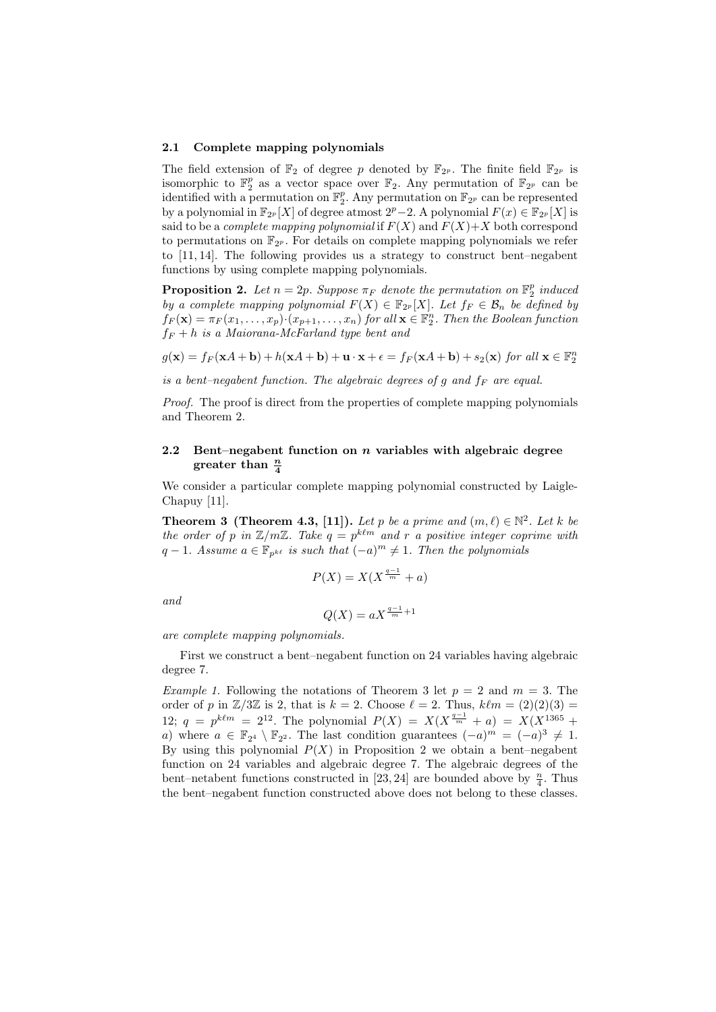#### 2.1 Complete mapping polynomials

The field extension of  $\mathbb{F}_2$  of degree p denoted by  $\mathbb{F}_{2^p}$ . The finite field  $\mathbb{F}_{2^p}$  is isomorphic to  $\mathbb{F}_2^p$  as a vector space over  $\mathbb{F}_2$ . Any permutation of  $\mathbb{F}_{2^p}$  can be identified with a permutation on  $\mathbb{F}_2^p$ . Any permutation on  $\mathbb{F}_{2^p}$  can be represented by a polynomial in  $\mathbb{F}_{2^p}[X]$  of degree atmost  $2^p-2$ . A polynomial  $F(x) \in \mathbb{F}_{2^p}[X]$  is said to be a *complete mapping polynomial* if  $F(X)$  and  $F(X)+X$  both correspond to permutations on  $\mathbb{F}_{2^p}$ . For details on complete mapping polynomials we refer to [11, 14]. The following provides us a strategy to construct bent–negabent functions by using complete mapping polynomials.

**Proposition 2.** Let  $n = 2p$ . Suppose  $\pi_F$  denote the permutation on  $\mathbb{F}_2^p$  induced by a complete mapping polynomial  $F(X) \in \mathbb{F}_{2^p}[X]$ . Let  $f_F \in \mathcal{B}_n$  be defined by  $f_F(\mathbf{x}) = \pi_F(x_1, \ldots, x_p) \cdot (x_{p+1}, \ldots, x_n)$  for all  $\mathbf{x} \in \mathbb{F}_2^n$ . Then the Boolean function  $f_F + h$  is a Maiorana-McFarland type bent and

 $g(\mathbf{x}) = f_F(\mathbf{x}A + \mathbf{b}) + h(\mathbf{x}A + \mathbf{b}) + \mathbf{u} \cdot \mathbf{x} + \epsilon = f_F(\mathbf{x}A + \mathbf{b}) + s_2(\mathbf{x})$  for all  $\mathbf{x} \in \mathbb{F}_2^n$ 

is a bent-negabent function. The algebraic degrees of g and  $f_F$  are equal.

Proof. The proof is direct from the properties of complete mapping polynomials and Theorem 2.

## 2.2 Bent–negabent function on  $n$  variables with algebraic degree greater than  $\frac{n}{4}$

We consider a particular complete mapping polynomial constructed by Laigle-Chapuy [11].

**Theorem 3 (Theorem 4.3, [11]).** Let p be a prime and  $(m, \ell) \in \mathbb{N}^2$ . Let k be the order of p in  $\mathbb{Z}/m\mathbb{Z}$ . Take  $q = p^{k\ell m}$  and r a positive integer coprime with  $q-1$ . Assume  $a \in \mathbb{F}_{p^{k\ell}}$  is such that  $(-a)^m \neq 1$ . Then the polynomials

$$
P(X) = X(X^{\frac{q-1}{m}} + a)
$$

and

$$
Q(X) = aX^{\frac{q-1}{m}+1}
$$

are complete mapping polynomials.

First we construct a bent–negabent function on 24 variables having algebraic degree 7.

*Example 1.* Following the notations of Theorem 3 let  $p = 2$  and  $m = 3$ . The order of p in  $\mathbb{Z}/3\mathbb{Z}$  is 2, that is  $k = 2$ . Choose  $\ell = 2$ . Thus,  $k\ell m = (2)(2)(3) =$ 12;  $q = p^{k\ell m} = 2^{12}$ . The polynomial  $P(X) = X(X^{\frac{q-1}{m}} + a) = X(X^{1365} + a)$ a) where  $a \in \mathbb{F}_{2^4} \setminus \mathbb{F}_{2^2}$ . The last condition guarantees  $(-a)^m = (-a)^3 \neq 1$ . By using this polynomial  $P(X)$  in Proposition 2 we obtain a bent–negabent function on 24 variables and algebraic degree 7. The algebraic degrees of the bent–netabent functions constructed in [23, 24] are bounded above by  $\frac{n}{4}$ . Thus the bent–negabent function constructed above does not belong to these classes.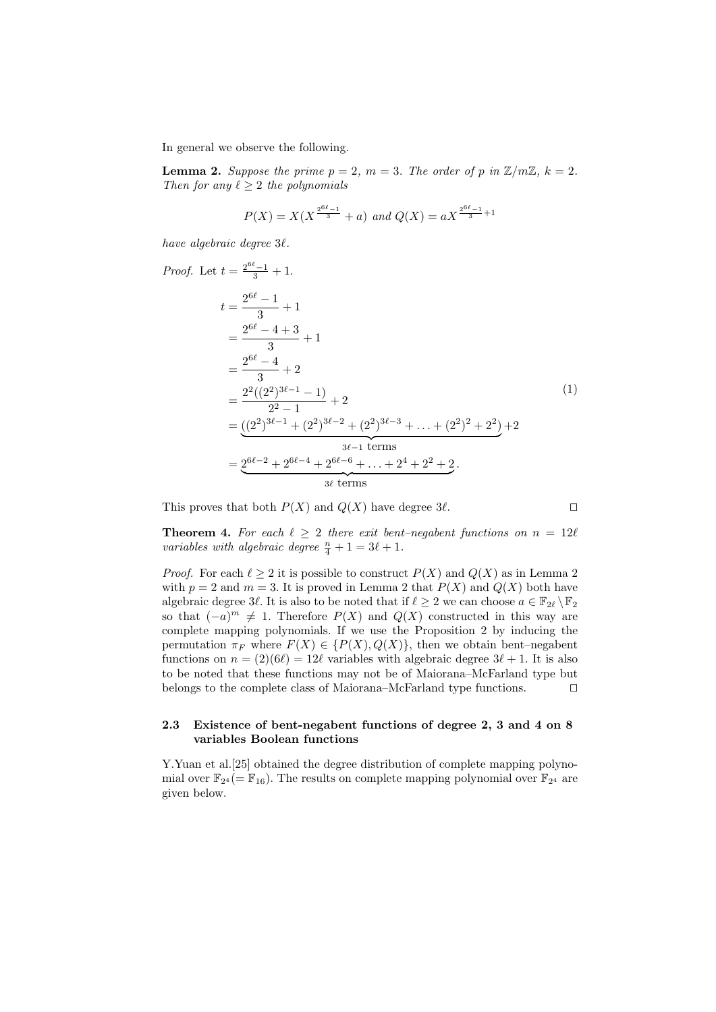In general we observe the following.

**Lemma 2.** Suppose the prime  $p = 2$ ,  $m = 3$ . The order of p in  $\mathbb{Z}/m\mathbb{Z}$ ,  $k = 2$ . Then for any  $\ell \geq 2$  the polynomials

$$
P(X) = X(X^{\frac{2^{6\ell}-1}{3}} + a) \text{ and } Q(X) = aX^{\frac{2^{6\ell}-1}{3}+1}
$$

have algebraic degree  $3\ell$ .

Proof.

2 <sup>6</sup>`−1 <sup>3</sup> + 1. t = 2 <sup>6</sup>` − 1 3 + 1 = 2 <sup>6</sup>` − 4 + 3 3 + 1 = 2 <sup>6</sup>` − 4 3 + 2 = 2 2 ((2<sup>2</sup> ) <sup>3</sup>`−<sup>1</sup> − 1) 2 <sup>2</sup> − 1 + 2 = ((2<sup>2</sup> ) <sup>3</sup>`−<sup>1</sup> + (2<sup>2</sup> ) <sup>3</sup>`−<sup>2</sup> + (2<sup>2</sup> ) <sup>3</sup>`−<sup>3</sup> + . . . + (2<sup>2</sup> ) <sup>2</sup> + 2<sup>2</sup> ) | {z } 3`−1 terms +2 = 26`−<sup>2</sup> + 26`−<sup>4</sup> + 26`−<sup>6</sup> + . . . + 2<sup>4</sup> + 2<sup>2</sup> + 2 | {z } 3` terms . (1)

This proves that both  $P(X)$  and  $Q(X)$  have degree  $3\ell$ .

**Theorem 4.** For each  $\ell \geq 2$  there exit bent–negabent functions on  $n = 12\ell$ variables with algebraic degree  $\frac{n}{4} + 1 = 3\ell + 1$ .

*Proof.* For each  $\ell > 2$  it is possible to construct  $P(X)$  and  $Q(X)$  as in Lemma 2 with  $p = 2$  and  $m = 3$ . It is proved in Lemma 2 that  $P(X)$  and  $Q(X)$  both have algebraic degree 3 $\ell$ . It is also to be noted that if  $\ell \geq 2$  we can choose  $a \in \mathbb{F}_{2\ell} \backslash \mathbb{F}_2$ so that  $(-a)^m \neq 1$ . Therefore  $P(X)$  and  $Q(X)$  constructed in this way are complete mapping polynomials. If we use the Proposition 2 by inducing the permutation  $\pi_F$  where  $F(X) \in \{P(X), Q(X)\}\$ , then we obtain bent–negabent functions on  $n = (2)(6\ell) = 12\ell$  variables with algebraic degree  $3\ell + 1$ . It is also to be noted that these functions may not be of Maiorana–McFarland type but belongs to the complete class of Maiorana–McFarland type functions.  $\Box$ 

#### 2.3 Existence of bent-negabent functions of degree 2, 3 and 4 on 8 variables Boolean functions

Y.Yuan et al.[25] obtained the degree distribution of complete mapping polynomial over  $\mathbb{F}_{2^4}$  (=  $\mathbb{F}_{16}$ ). The results on complete mapping polynomial over  $\mathbb{F}_{2^4}$  are given below.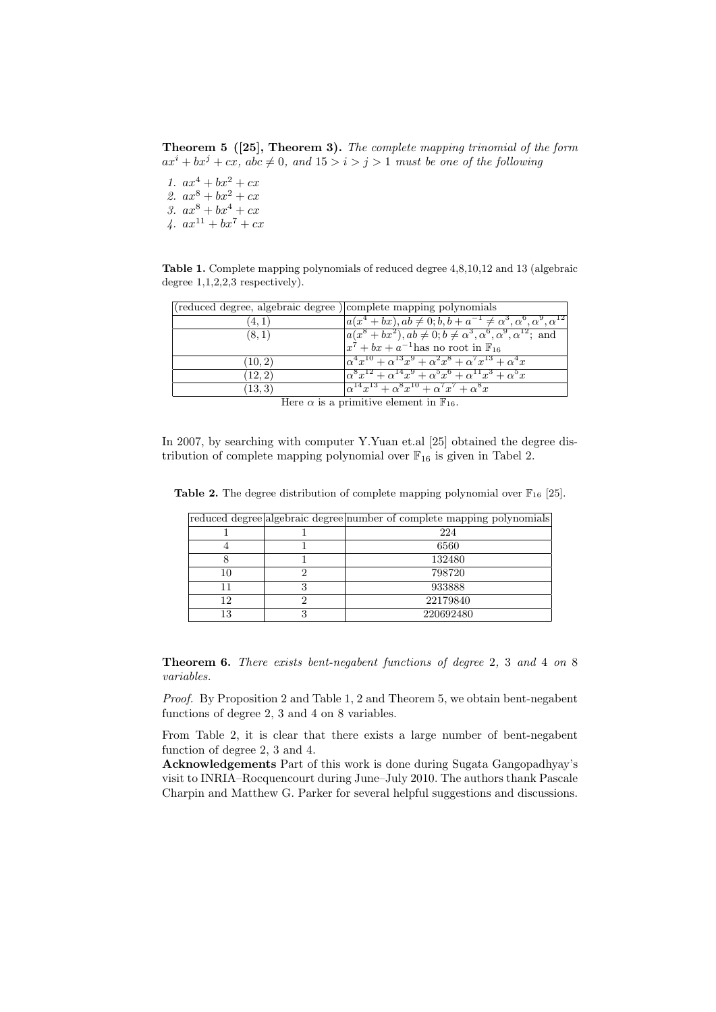Theorem 5 ([25], Theorem 3). The complete mapping trinomial of the form  $ax^{i} + bx^{j} + cx$ , abc  $\neq 0$ , and  $15 > i > j > 1$  must be one of the following

1.  $ax^4 + bx^2 + cx$ 2.  $ax^8 + bx^2 + cx$ 3.  $ax^8 + bx^4 + cx$ 

4.  $ax^{11} + bx^7 + cx$ 

Table 1. Complete mapping polynomials of reduced degree 4,8,10,12 and 13 (algebraic degree 1,1,2,2,3 respectively).

| (reduced degree, algebraic degree) complete mapping polynomials |                                                                                              |  |
|-----------------------------------------------------------------|----------------------------------------------------------------------------------------------|--|
| (4, 1)                                                          | $a(x^4+bx), ab \neq 0; b, b+a^{-1} \neq \alpha^3, \alpha^6, \alpha^9, \alpha^{12}$           |  |
| (8,1)                                                           | $a(x^8+bx^2), ab \neq 0; b \neq a^3, \alpha^6, \alpha^9, \alpha^{12};$ and                   |  |
|                                                                 | $x^7 + bx + a^{-1}$ has no root in $\mathbb{F}_{16}$                                         |  |
| (10, 2)                                                         | $\alpha^4 x^{10} + \alpha^{13} x^9 + \alpha^2 x^8 + \alpha^7 x^{13} + \alpha^4 x^9$          |  |
| (12, 2)                                                         | $\alpha^{8}x^{12} + \alpha^{14}x^{9} + \alpha^{5}x^{6} + \alpha^{11}x^{3} + \alpha^{5}x^{1}$ |  |
| (13, 3)                                                         | $\alpha^{14}x^{13} + \alpha^8x^{10} + \alpha^7x^7 + \alpha^8x$                               |  |
|                                                                 |                                                                                              |  |

Here  $\alpha$  is a primitive element in  $\mathbb{F}_{16}$ .

In 2007, by searching with computer Y.Yuan et.al [25] obtained the degree distribution of complete mapping polynomial over  $\mathbb{F}_{16}$  is given in Tabel 2.

|    |   | reduced degree algebraic degree number of complete mapping polynomials |
|----|---|------------------------------------------------------------------------|
|    |   | 224                                                                    |
|    |   | 6560                                                                   |
|    |   | 132480                                                                 |
| 10 |   | 798720                                                                 |
| 11 | 3 | 933888                                                                 |
| 12 |   | 22179840                                                               |
| 13 |   | 220692480                                                              |

**Table 2.** The degree distribution of complete mapping polynomial over  $\mathbb{F}_{16}$  [25].

Theorem 6. There exists bent-negabent functions of degree 2, 3 and 4 on 8 variables.

Proof. By Proposition 2 and Table 1, 2 and Theorem 5, we obtain bent-negabent functions of degree 2, 3 and 4 on 8 variables.

From Table 2, it is clear that there exists a large number of bent-negabent function of degree 2, 3 and 4.

Acknowledgements Part of this work is done during Sugata Gangopadhyay's visit to INRIA–Rocquencourt during June–July 2010. The authors thank Pascale Charpin and Matthew G. Parker for several helpful suggestions and discussions.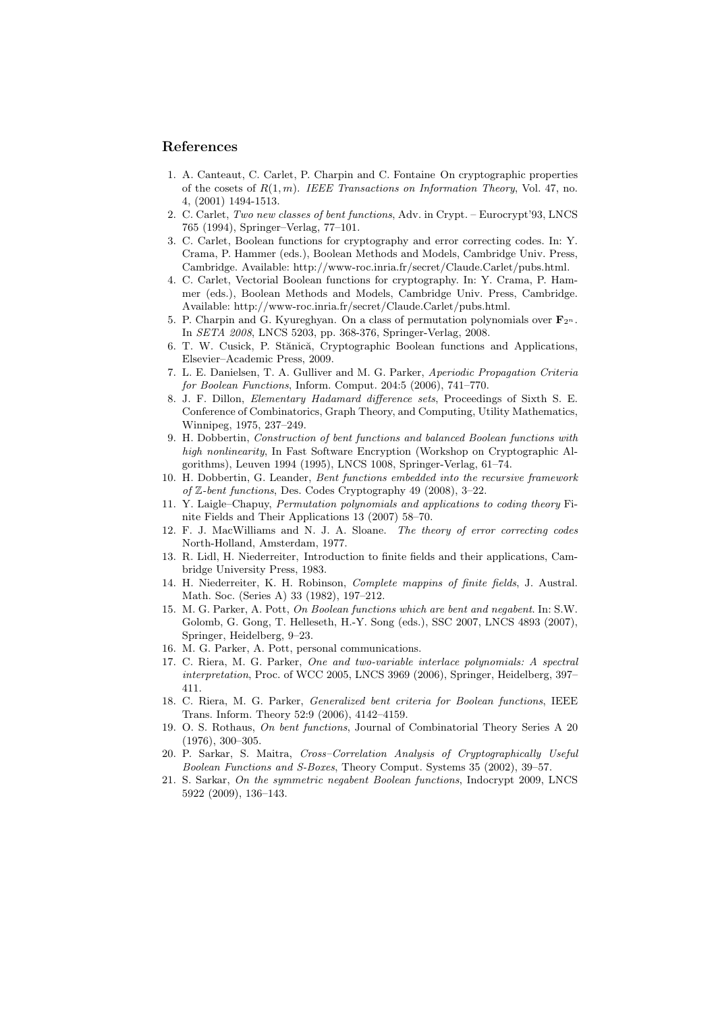## References

- 1. A. Canteaut, C. Carlet, P. Charpin and C. Fontaine On cryptographic properties of the cosets of  $R(1, m)$ . IEEE Transactions on Information Theory, Vol. 47, no. 4, (2001) 1494-1513.
- 2. C. Carlet, Two new classes of bent functions, Adv. in Crypt. Eurocrypt'93, LNCS 765 (1994), Springer–Verlag, 77–101.
- 3. C. Carlet, Boolean functions for cryptography and error correcting codes. In: Y. Crama, P. Hammer (eds.), Boolean Methods and Models, Cambridge Univ. Press, Cambridge. Available: http://www-roc.inria.fr/secret/Claude.Carlet/pubs.html.
- 4. C. Carlet, Vectorial Boolean functions for cryptography. In: Y. Crama, P. Hammer (eds.), Boolean Methods and Models, Cambridge Univ. Press, Cambridge. Available: http://www-roc.inria.fr/secret/Claude.Carlet/pubs.html.
- 5. P. Charpin and G. Kyureghyan. On a class of permutation polynomials over  $\mathbf{F}_{2^n}$ . In SETA 2008, LNCS 5203, pp. 368-376, Springer-Verlag, 2008.
- 6. T. W. Cusick, P. Stănică, Cryptographic Boolean functions and Applications, Elsevier–Academic Press, 2009.
- 7. L. E. Danielsen, T. A. Gulliver and M. G. Parker, Aperiodic Propagation Criteria for Boolean Functions, Inform. Comput. 204:5 (2006), 741–770.
- 8. J. F. Dillon, Elementary Hadamard difference sets, Proceedings of Sixth S. E. Conference of Combinatorics, Graph Theory, and Computing, Utility Mathematics, Winnipeg, 1975, 237–249.
- 9. H. Dobbertin, Construction of bent functions and balanced Boolean functions with high nonlinearity, In Fast Software Encryption (Workshop on Cryptographic Algorithms), Leuven 1994 (1995), LNCS 1008, Springer-Verlag, 61–74.
- 10. H. Dobbertin, G. Leander, Bent functions embedded into the recursive framework of Z-bent functions, Des. Codes Cryptography 49 (2008), 3–22.
- 11. Y. Laigle–Chapuy, Permutation polynomials and applications to coding theory Finite Fields and Their Applications 13 (2007) 58–70.
- 12. F. J. MacWilliams and N. J. A. Sloane. The theory of error correcting codes North-Holland, Amsterdam, 1977.
- 13. R. Lidl, H. Niederreiter, Introduction to finite fields and their applications, Cambridge University Press, 1983.
- 14. H. Niederreiter, K. H. Robinson, Complete mappins of finite fields, J. Austral. Math. Soc. (Series A) 33 (1982), 197–212.
- 15. M. G. Parker, A. Pott, On Boolean functions which are bent and negabent. In: S.W. Golomb, G. Gong, T. Helleseth, H.-Y. Song (eds.), SSC 2007, LNCS 4893 (2007), Springer, Heidelberg, 9–23.
- 16. M. G. Parker, A. Pott, personal communications.
- 17. C. Riera, M. G. Parker, One and two-variable interlace polynomials: A spectral interpretation, Proc. of WCC 2005, LNCS 3969 (2006), Springer, Heidelberg, 397– 411.
- 18. C. Riera, M. G. Parker, Generalized bent criteria for Boolean functions, IEEE Trans. Inform. Theory 52:9 (2006), 4142–4159.
- 19. O. S. Rothaus, On bent functions, Journal of Combinatorial Theory Series A 20 (1976), 300–305.
- 20. P. Sarkar, S. Maitra, Cross–Correlation Analysis of Cryptographically Useful Boolean Functions and S-Boxes, Theory Comput. Systems 35 (2002), 39–57.
- 21. S. Sarkar, On the symmetric negabent Boolean functions, Indocrypt 2009, LNCS 5922 (2009), 136–143.